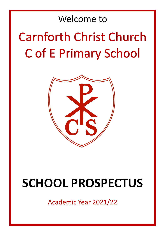## Welcome to

# **Carnforth Christ Church Cof E Primary School**



## **SCHOOL PROSPECTUS**

Academic Year 2021/22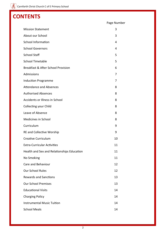### **CONTENTS**

| <b>Mission Statement</b>                      | 3  |
|-----------------------------------------------|----|
| About our School                              | 3  |
| <b>School Information</b>                     | 4  |
| <b>School Governors</b>                       | 4  |
| <b>School Staff</b>                           | 5  |
| <b>School Timetable</b>                       | 5  |
| <b>Breakfast &amp; After School Provision</b> | 6  |
| Admissions                                    | 7  |
| <b>Induction Programme</b>                    | 7  |
| <b>Attendance and Absences</b>                | 8  |
| <b>Authorised Absences</b>                    | 8  |
| Accidents or Illness in School                | 8  |
| <b>Collecting your Child</b>                  | 8  |
| Leave of Absence                              | 8  |
| Medicines in School                           | 8  |
| Curriculum                                    | 9  |
| <b>RE and Collective Worship</b>              | 9  |
| <b>Creative Curriculum</b>                    | 10 |
| <b>Extra-Curricular Activities</b>            | 11 |
| Health and Sex and Relationships Education    | 11 |
| No Smoking                                    | 11 |
| Care and Behaviour                            | 12 |
| <b>Our School Rules</b>                       | 12 |
| <b>Rewards and Sanctions</b>                  | 13 |
| <b>Our School Premises</b>                    | 13 |
| <b>Educational Visits</b>                     | 14 |
| <b>Charging Policy</b>                        | 14 |
| <b>Instrumental Music Tuition</b>             | 14 |
| <b>School Meals</b>                           | 14 |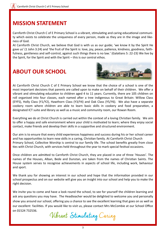### **MISSION STATEMENT**

Carnforth Christ Church C of E Primary School is a vibrant, stimulating and caring educational community which exists to celebrate the uniqueness of every person, made as they are in the image and likeness of God.

At Carnforth Christ Church, we believe that God is with us as our guide; 'we know it by the Spirit He gave us' (1 John 3:24) and 'the fruit of the Spirit is: love, joy, peace, patience, kindness, goodness, faithfulness, gentleness and self-control, against such things there is no law.' (Galatians 5: 22-23) We live by the Spirit, for the Spirit and with the Spirit – this is our central ethos.

### **ABOUT OUR SCHOOL**



At Carnforth Christ Church C of E Primary School we know that the choice of a school is one of the most important decisions that parents are called upon to make on behalf of their children. We offer a vibrant and stimulating education to children aged 4 to 11 years. Currently, there are 105 children on roll organised into four classes, each named after a tree indigenous to Great Britain: Willow Class (EYFS), Holly Class (Y1/Y2), Hawthorn Class (Y3/Y4) and Oak Class (Y5/Y6). We also have a separate cookery room where children are able to learn basic skills in cookery and food preparation, a designated ICT suite and library as well as a music and community room, our Rowan Room.

Everything we do at Christ Church is carried out within the context of a loving Christian family. We aim to offer a happy and safe environment where your child is motivated to learn; where they enjoy social contact, make friends and develop their skills in a supportive and structured environment.

Our aim is to ensure that every child experiences happiness and success during his or her school career and has opportunities to learn new skills in a caring, Christian family. At Carnforth Christ Church Primary School, Collective Worship is central to our family life. The school benefits greatly from close ties with Christ Church, with services held throughout the year to mark special festival occasions.

Once children are admitted to Carnforth Christ Church, they are placed in one of three 'Houses'. The names of the Houses, Alban, Bede and Dunstan, are taken from the names of Christian Saints. The House system serves to recognise achievements in aspects of school life, including work, behaviour and sport.

We thank you for showing an interest in our school and hope that the information provided in our school prospectus and on our website will give you an insight into our school and help you to make the right decision.

We invite you to come and have a look round the school, to see for yourself the children learning and ask any questions you may have. The Headteacher would be delighted to welcome you and personally show you around our school, offering you a chance to see the excellent learning that goes on as well as our excellent facilities. If you would like to visit us, please contact Mrs McCombie at our School Office on 01524 732536.

Vibrant Stimulating Caring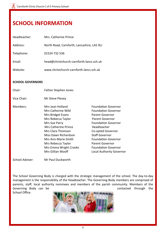### **SCHOOL INFORMATION**

| Headteacher: | Mrs. Catherine Prince                      |
|--------------|--------------------------------------------|
| Address:     | North Road, Carnforth, Lancashire, LA5 9LJ |
| Telephone:   | 01524 732 536                              |
| Email:       | head@christchurch-carnforth.lancs.sch.uk   |
| Website:     | www.christchurch-carnforth.lancs.sch.uk    |

### **SCHOOL GOVERNORS**

| Chair:      | Father Stephen Jones                   |                                                          |
|-------------|----------------------------------------|----------------------------------------------------------|
| Vice Chair: | Mr Steve Plevey                        |                                                          |
| Members:    | Mrs Jean Holland<br>Mrs Catherine Wild | <b>Foundation Governor</b><br><b>Foundation Governor</b> |
|             | Mrs Bridget Evans                      | Parent Governor                                          |
|             | Mrs Rebecca Taylor                     | Parent Governor                                          |
|             | Mrs Sue Parry                          | <b>Foundation Governor</b>                               |
|             | Mrs Catherine Prince                   | Headteacher                                              |
|             | Mrs Clare Thomson                      | Co-opted Governor                                        |
|             | Miss Dawn Richardson                   | <b>Staff Governor</b>                                    |
|             | Mrs Ann-Marie Smith                    | <b>Foundation Governor</b>                               |
|             | Mrs Rebecca Taylor                     | <b>Parent Governor</b>                                   |
|             | Mrs Emma Wright Crooks                 | <b>Foundation Governor</b>                               |
|             | Mrs Gillian Wooff                      | <b>Local Authority Governor</b>                          |
|             |                                        |                                                          |

School Adviser: Mr Paul Duckworth

The School Governing Body is charged with the strategic management of the school. The day-to-day management is the responsibility of the Headteacher. The Governing Body members are comprised of parents, staff, local authority nominees and members of the parish community. Members of the Governing Body can be contacted through the

School Office.

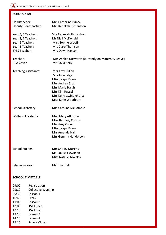### $\left(\overline{\mathcal{X}_{\mathcal{S}}}\right)$  Carnforth Christ Church C of E Primary School

### **SCHOOL STAFF**

| Headteacher:<br>Deputy Headteacher:                                          | Mrs Catherine Prince<br>Mrs Rebekah Richardson                                                                                                                   |
|------------------------------------------------------------------------------|------------------------------------------------------------------------------------------------------------------------------------------------------------------|
| Year 5/6 Teacher:<br>Year 3/4 Teacher:<br>Year 2 Teacher:<br>Year 1 Teacher: | Mrs Rebekah Richardson<br>Mr Niall McDonald<br>Miss Sophie Wooff<br>Mrs Clare Thomson                                                                            |
| <b>EYFS Teacher:</b>                                                         | Mrs Dawn Hanson                                                                                                                                                  |
| Teacher:<br>PPA Cover:                                                       | Mrs Ashlea Unsworth (currently on Maternity Leave)<br>Mr David Kelly                                                                                             |
| <b>Teaching Assistants:</b>                                                  | Mrs Amy Cullen<br>Mrs Julie Edge<br>Miss Jacqui Evans<br>Mrs Andrea Stott<br>Mrs Marie Haigh<br>Mrs Kim Russell<br>Mrs Kerry Swindlehurst<br>Miss Katie Woodburn |
| School Secretary:                                                            | <b>Mrs Caroline McCombie</b>                                                                                                                                     |
| <b>Welfare Assistants:</b>                                                   | Miss Mary Atkinson<br>Miss Bethany Conroy<br>Mrs Amy Cullen<br>Miss Jacqui Evans<br>Mrs Amanda Hall<br>Mrs Gemma Henderson                                       |
| School Kitchen:                                                              | Mrs Shirley Murphy<br>Ms Louise Hewitson<br><b>Miss Natalie Townley</b>                                                                                          |
| Site Supervisor:                                                             | Mr Tony Hall                                                                                                                                                     |

5

### **SCHOOL TIMETABLE**

09:00 Registration 09:10 Collective Worship 09:30 Lesson 1 10:45 Break 11:00 Lesson 2 12:00 KS1 Lunch 12:15 KS2 Lunch 13:10 Lesson 3 14:15 Lesson 4 15:15 School Closes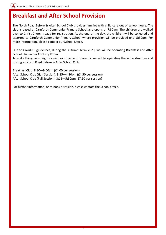### **Breakfast and After School Provision**

The North Road Before & After School Club provides families with child care out of school hours. The club is based at Carnforth Community Primary School and opens at 7:30am. The children are walked over to Christ Church ready for registration. At the end of the day, the children will be collected and escorted to Carnforth Community Primary School where provision will be provided until 5:30pm. For more information, please contact our School Office.

Due to Covid-19 guidelines, during the Autumn Term 2020, we will be operating Breakfast and After School Club in our Cookery Room.

To make things as straightforward as possible for parents, we will be operating the same structure and pricing as North Road Before & After School Club:

6

Breakfast Club: 8:30—9:00am (£4.00 per session) After School Club (Half Session): 3:15—4:30pm (£4.50 per session) After School Club (Full Session): 3:15—5:30pm (£7.50 per session)

For further information, or to book a session, please contact the School Office.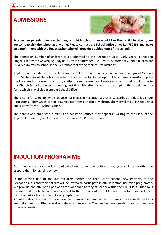### **ADMISSIONS**



**Prospective parents who are deciding on which school they would like their child to attend, are welcome to visit the school at any time. Please contact the School Office on 01524 732536 and make an appointment with the Headteacher who will provide a guided tour of the school.** 

The admission number of children to be admitted to the Reception Class (Early Years Foundation Stage) is set by the Governing Body at 20, from September 2021 (25 for September 2020). Children are usually admitted to school in the September following their fourth birthday.

Applications for admissions to the school should be made online at www.lancashire.gov.uk/schools from September of the school year before admission to the Reception Class. Parents **must** complete the Local Authority electronic form, stating three preferences. Parents who wish their application to this Church School to be considered against the faith criteria should also complete the supplementary form, which is available from our School Office.

The criteria for selection when requests for places in Reception are over-subscribed are detailed in our Admissions Policy which can be downloaded from our school website, alternatively you can request a paper copy from our School Office.

The parent of a child whose admission has been refused may appeal in writing to the Clerk of the Appeals Committee, c/o Carnforth Christ Church CE Primary School.

### **INDUCTION PROGRAMME**

Our induction programme is carefully designed to support both you and your child as together we prepare them for starting school.

In the second half of the autumn term before the child starts school, new entrants to the Reception Class and their parents will be invited to participate in our Reception Induction programme. We provide one afternoon per week for your child to stay at school within the EYFS Class. Our aim is for your children to become accustomed to the routines of school life and therefore, support their transition into school in the following September.

An information evening for parents is held during the summer term where you can meet the Early Years staff, learn a little more about life in our Reception Class and ask any questions you wish—there is no silly question!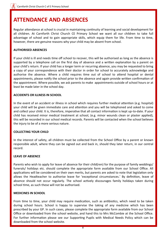### **ATTENDANCE AND ABSENCES**

Regular attendance at school is crucial in maintaining continuity of learning and social development for all children. At Carnforth Christ Church CE Primary School we want all our children to take full advantage of school and to gain appropriate skills, which equip them for life. From time to time, however, there are genuine reasons why your child may be absent from school.

#### **AUTHORISED ABSENCES**

If your child is ill and needs time off school to recover, this will be authorised as long as the absence is supported by a telephone call on the first day of absence and a written explanation by a parent on your child's return. If your child has a longer term or recurring absence, you may be requested to bring a copy of your correspondence with their doctor in order for school to accurately acknowledge and authorise the absence. Where a child requires time out of school to attend hospital or dental appointments, please notify the school prior to the absence and again provide written confirmation of the appointment. Where possible, we ask parents to make appointments outside of school hours or at least be made later in the school day.

#### **ACCIDENTS OR ILLNESS IN SCHOOL**

In the event of an accident or illness in school which requires further medical attention (e.g. hospital) your child will be given immediate care and attention and you will be telephoned and asked to come and collect your child. It is, therefore, imperative that all contact information is kept up-to-date. If your child has received minor medical treatment at school, (e.g. minor wounds clean or plaster applied), this will be recorded in our school medical records. Parents will be contacted when the school believes the injury to be of a more serious nature.

#### **COLLECTING YOUR CHILD**

In the interest of safety, all children must be collected from the School Office by a parent or known responsible adult, where they can be signed out and back in, should they later return, in our central record.

### **LEAVE OF ABSENCE**

Parents who wish to apply for leave of absence for their child(ren) for the purpose of family weddings/ funerals/ holidays etc. should complete the appropriate form available from our School Office. All applications will be considered on their own merits, but parents are asked to note that legislation only allows the Headteacher to authorise leave for 'exceptional circumstances.' By definition, leave of absence should not occur regularly. The school actively discourages family holidays taken during school time, as such these will not be authorised.

#### **MEDICINES IN SCHOOL**

From time to time, your child may require medication, such as antibiotics, which need to be taken during school hours. School is happy to supervise the taking of any medicine which has been prescribed by your GP. In such cases, please complete the appropriate form available from our School Office or downloaded from the school website, and hand this to Mrs McCombie at the School Office. For further information please see our Supporting Pupils with Medical Needs Policy which can be downloaded from the school website.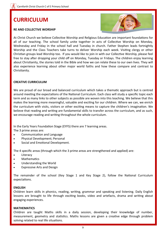### **CURRICULUM**

#### **RE AND COLLECTIVE WORSHIP**



At Christ Church we believe Collective Worship and Religious Education are important foundations for all of our teaching. The school family unite together in acts of Collective Worship on Monday, Wednesday and Friday in the school hall and Tuesday in church. Father Stephen leads fortnightly Worship and the Class Teachers take turns to deliver Worship each week. Visiting clergy or other Christian groups lead Worship too. If you would like to join in with our Collective Worship, please feel free to stay after dropping your child off on Monday, Tuesday or Fridays. The children enjoy learning about Christianity, the stories told in the Bible and how we can relate these to our own lives. They will also experience learning about other major world faiths and how these compare and contrast to Christianity.

### **CREATIVE CURRICULUM**

We are proud of our broad and balanced curriculum which takes a thematic approach but is centred around meeting the expectations of the National Curriculum. Each class will study a specific topic each term and as many links to other subjects as possible are woven into this teaching. We believe that this makes the learning more meaningful, valuable and exciting for our children. Where we can, we enrich the curriculum with visits, visitors or other exciting means to capture the children's imagination. We believe that reading and writing are fundamental skills to transfer across the curriculum, and as such, we encourage reading and writing throughout the whole curriculum.

In the Early Years Foundation Stage (EYFS) there are 7 learning areas. The 3 prime areas are:

- Communication and Language
- Physical Development; Personal
- Social and Emotional Development.

The 4 specific areas (through which the 3 prime areas are strengthened and applied) are:

- **Literacy**
- **Mathematics**
- Understanding the World
- Expressive Arts and Design

The remainder of the school (Key Stage 1 and Key Stage 2), follow the National Curriculum expectations.

#### **ENGLISH**

Children learn skills in phonics, reading, writing, grammar and speaking and listening. Daily English lessons are brought to life through exciting books, video and artefacts, drama and writing about engaging experiences.

#### **MATHEMATICS**

Children are taught Maths skills in a daily session, developing their knowledge of number, measurement, geometry and statistics. Maths lessons are given a creative edge through problem solving related to real life situations.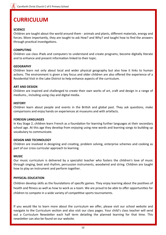### **CURRICULUM**

### **SCIENCE**

Children are taught about the world around them - animals and plants, different materials, energy and forces. More importantly, they are taught to ask How? and Why? and taught how to find the answers through practical investigations.

#### **COMPUTING**

Children use class iPads and computers to understand and create programs, become digitally literate and to enhance and present information linked to their topic.

#### **GEOGRAPHY**

Children learn not only about local and wider physical geography but also how it links to human actions. The environment is given a key focus and older children are also offered the experience of a Residential Visit in the Lake District to help enhance aspects of the curriculum.

#### **ART AND DESIGN**

Children are inspired and challenged to create their own works of art, craft and design in a range of mediums., including using clay and digital media.

#### **HISTORY**

Children learn about people and events in the British and global past. They ask questions, make comparisons and enjoy hands on experiences at museums and with artefacts.

#### **FOREIGN LANGUAGES**

In Key Stage 2, children learn French as a foundation for learning further languages at their secondary school age. At this age they develop from enjoying using new words and learning songs to building up vocabulary to communicate.

### **DESIGN AND TECHNOLOGY**

Children are involved in designing and creating, problem solving, enterprise schemes and cooking as part of our cross curricular approach to learning.

### **MUSIC**

Our music curriculum is delivered by a specialist teacher who fosters the children's love of music through singing, beat and rhythm, percussion instruments, woodwind and string. Children are taught how to play an instrument and perform together.

### **PHYSICAL EDUCATION**

Children develop skills as the foundations of specific games. They enjoy learning about the positives of health and fitness as well as how to work as a team. We are proud to be able to offer opportunities for children to compete in a wide variety of competitive sports tournaments.

If you would like to learn more about the curriculum we offer, please visit our school website and navigate to the Curriculum section and also visit our class pages. Your child's class teacher will send out a Curriculum Newsletter each half term detailing the planned learning for that time. This newsletter can also be found on our website.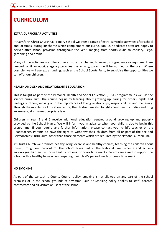### **CURRICULUM**

#### **EXTRA-CURRICULAR ACTIVITIES**

At Carnforth Christ Church CE Primary School we offer a range of extra-curricular activities after school and, at times, during lunchtime which complement our curriculum. Our dedicated staff are happy to deliver after school provision throughout the year, ranging from sports clubs to cookery, Lego, gardening and drama.

Many of the activities we offer come at no extra charge; however, if ingredients or equipment are needed, or if an outside agency provides the activity, parents will be notified of the cost. Where possible, we will use extra funding, such as the School Sports Fund, to subsidise the opportunities we can offer our children.

### **HEALTH AND SEX AND RELATIONSHIPS EDUCATION**

This is taught as part of the Personal, Health and Social Education (PHSE) programme as well as the science curriculum. The course begins by learning about growing up, caring for others, rights and feelings of others, moving onto the importance of loving relationships, responsibilities and the family. Through the mobile Life Education centre, the children are also taught about healthy bodies and drug awareness, at an age-appropriate level.

Children in Year 5 and 6 receive additional education centred around growing up and puberty provided by the School Nurse. We will inform you in advance when your child is due to begin this programme. If you require any further information, please contact your child's teacher or the Headteacher. Parents do have the right to withdraw their children from all or part of the Sex and Relationships Curriculum, other than those elements which are required by the National Curriculum.

At Christ Church we promote healthy living, exercise and healthy choices, teaching the children about these through our curriculum. The school takes part in the National Fruit Scheme and actively encourages children to choose healthy options for break time snacks. Parents are asked to support the school with a healthy focus when preparing their child's packed lunch or break time snack.

### **NO SMOKING**

As part of the Lancashire County Council policy, smoking is not allowed on any part of the school premises or in the school grounds at any time. Our No-Smoking policy applies to staff, parents, contractors and all visitors or users of the school.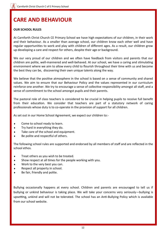### **CARE AND BEHAVIOUR**

### **OUR SCHOOL RULES**

At Carnforth Christ Church CE Primary School we have high expectations of our children, in their work and their behaviour. As a smaller than average school, our children know each other well and have regular opportunities to work and play with children of different ages. As a result, our children grow up developing a care and respect for others, despite their age or background.

We our very proud of our children and we often have feedback from visitors and parents that our children are polite, well-mannered and well-behaved. At our school, we have a caring and stimulating environment where we aim to allow every child to flourish throughout their time with us and become the best they can be, discovering their own unique talents along the way.

We believe that the positive atmosphere in the school is based on a sense of community and shared values. We aim to ensure that our Behaviour Policy and the values represented in our curriculum reinforce one another. We try to encourage a sense of collective responsibility amongst all staff, and a sense of commitment to the school amongst pupils and their parents.

The pastoral role of class teachers is considered to be crucial in helping pupils to receive full benefit from their education. We consider that teachers are part of a statutory network of caring professionals whose duty is to co-operate in the provision of support for all children.

As set out in our Home School Agreement, we expect our children to:-

- Come to school ready to learn.
- Try hard in everything they do.
- Take care of the school and equipment.
- Be polite and respectful of others.

The following school rules are supported and endorsed by all members of staff and are reflected in the school ethos.

- Treat others as you wish to be treated.
- Show respect at all times for the people working with you.
- Work to the very best you can.
- Respect all property in school.
- Be fair, friendly and polite.

Bullying occasionally happens at every school. Children and parents are encouraged to tell us if bullying or unkind behaviour is taking place. We will take your concerns very seriously—bullying is upsetting, unkind and will not be tolerated. The school has an Anti-Bullying Policy which is available from our school website.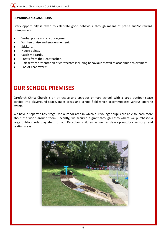### **REWARDS AND SANCTIONS**

Every opportunity is taken to celebrate good behaviour through means of praise and/or reward. Examples are:

- Verbal praise and encouragement.
- Written praise and encouragement.
- Stickers.
- House points.
- Catch me cards.
- Treats from the Headteacher.
- Half-termly presentation of certificates including behaviour as well as academic achievement.
- End of Year awards.

### **OUR SCHOOL PREMISES**

Carnforth Christ Church is an attractive and spacious primary school, with a large outdoor space divided into playground space, quiet areas and school field which accommodates various sporting events.

We have a separate Key Stage One outdoor area in which our younger pupils are able to learn more about the world around them. Recently, we secured a grant through Tesco where we purchased a large outdoor role play shed for our Reception children as well as develop outdoor sensory and seating areas.